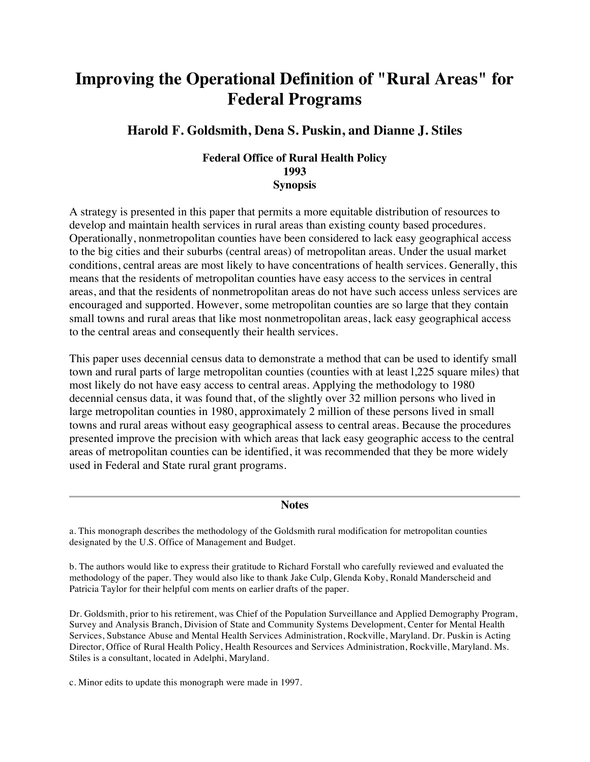# **Improving the Operational Definition of "Rural Areas" for Federal Programs**

# **Harold F. Goldsmith, Dena S. Puskin, and Dianne J. Stiles**

## **Federal Office of Rural Health Policy 1993 Synopsis**

A strategy is presented in this paper that permits a more equitable distribution of resources to develop and maintain health services in rural areas than existing county based procedures. Operationally, nonmetropolitan counties have been considered to lack easy geographical access to the big cities and their suburbs (central areas) of metropolitan areas. Under the usual market conditions, central areas are most likely to have concentrations of health services. Generally, this means that the residents of metropolitan counties have easy access to the services in central areas, and that the residents of nonmetropolitan areas do not have such access unless services are encouraged and supported. However, some metropolitan counties are so large that they contain small towns and rural areas that like most nonmetropolitan areas, lack easy geographical access to the central areas and consequently their health services.

This paper uses decennial census data to demonstrate a method that can be used to identify small town and rural parts of large metropolitan counties (counties with at least l,225 square miles) that most likely do not have easy access to central areas. Applying the methodology to 1980 decennial census data, it was found that, of the slightly over 32 million persons who lived in large metropolitan counties in 1980, approximately 2 million of these persons lived in small towns and rural areas without easy geographical assess to central areas. Because the procedures presented improve the precision with which areas that lack easy geographic access to the central areas of metropolitan counties can be identified, it was recommended that they be more widely used in Federal and State rural grant programs.

#### **Notes**

a. This monograph describes the methodology of the Goldsmith rural modification for metropolitan counties designated by the U.S. Office of Management and Budget.

b. The authors would like to express their gratitude to Richard Forstall who carefully reviewed and evaluated the methodology of the paper. They would also like to thank Jake Culp, Glenda Koby, Ronald Manderscheid and Patricia Taylor for their helpful com ments on earlier drafts of the paper.

Dr. Goldsmith, prior to his retirement, was Chief of the Population Surveillance and Applied Demography Program, Survey and Analysis Branch, Division of State and Community Systems Development, Center for Mental Health Services, Substance Abuse and Mental Health Services Administration, Rockville, Maryland. Dr. Puskin is Acting Director, Office of Rural Health Policy, Health Resources and Services Administration, Rockville, Maryland. Ms. Stiles is a consultant, located in Adelphi, Maryland.

c. Minor edits to update this monograph were made in 1997.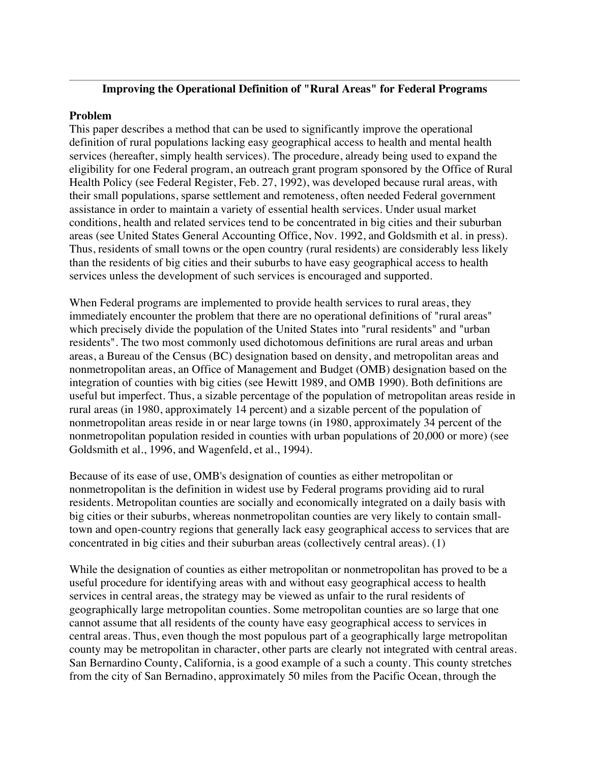## **Improving the Operational Definition of "Rural Areas" for Federal Programs**

#### **Problem**

This paper describes a method that can be used to significantly improve the operational definition of rural populations lacking easy geographical access to health and mental health services (hereafter, simply health services). The procedure, already being used to expand the eligibility for one Federal program, an outreach grant program sponsored by the Office of Rural Health Policy (see Federal Register, Feb. 27, 1992), was developed because rural areas, with their small populations, sparse settlement and remoteness, often needed Federal government assistance in order to maintain a variety of essential health services. Under usual market conditions, health and related services tend to be concentrated in big cities and their suburban areas (see United States General Accounting Office, Nov. 1992, and Goldsmith et al. in press). Thus, residents of small towns or the open country (rural residents) are considerably less likely than the residents of big cities and their suburbs to have easy geographical access to health services unless the development of such services is encouraged and supported.

When Federal programs are implemented to provide health services to rural areas, they immediately encounter the problem that there are no operational definitions of "rural areas" which precisely divide the population of the United States into "rural residents" and "urban residents". The two most commonly used dichotomous definitions are rural areas and urban areas, a Bureau of the Census (BC) designation based on density, and metropolitan areas and nonmetropolitan areas, an Office of Management and Budget (OMB) designation based on the integration of counties with big cities (see Hewitt 1989, and OMB 1990). Both definitions are useful but imperfect. Thus, a sizable percentage of the population of metropolitan areas reside in rural areas (in 1980, approximately 14 percent) and a sizable percent of the population of nonmetropolitan areas reside in or near large towns (in 1980, approximately 34 percent of the nonmetropolitan population resided in counties with urban populations of 20,000 or more) (see Goldsmith et al., 1996, and Wagenfeld, et al., 1994).

Because of its ease of use, OMB's designation of counties as either metropolitan or nonmetropolitan is the definition in widest use by Federal programs providing aid to rural residents. Metropolitan counties are socially and economically integrated on a daily basis with big cities or their suburbs, whereas nonmetropolitan counties are very likely to contain smalltown and open-country regions that generally lack easy geographical access to services that are concentrated in big cities and their suburban areas (collectively central areas). (1)

While the designation of counties as either metropolitan or nonmetropolitan has proved to be a useful procedure for identifying areas with and without easy geographical access to health services in central areas, the strategy may be viewed as unfair to the rural residents of geographically large metropolitan counties. Some metropolitan counties are so large that one cannot assume that all residents of the county have easy geographical access to services in central areas. Thus, even though the most populous part of a geographically large metropolitan county may be metropolitan in character, other parts are clearly not integrated with central areas. San Bernardino County, California, is a good example of a such a county. This county stretches from the city of San Bernadino, approximately 50 miles from the Pacific Ocean, through the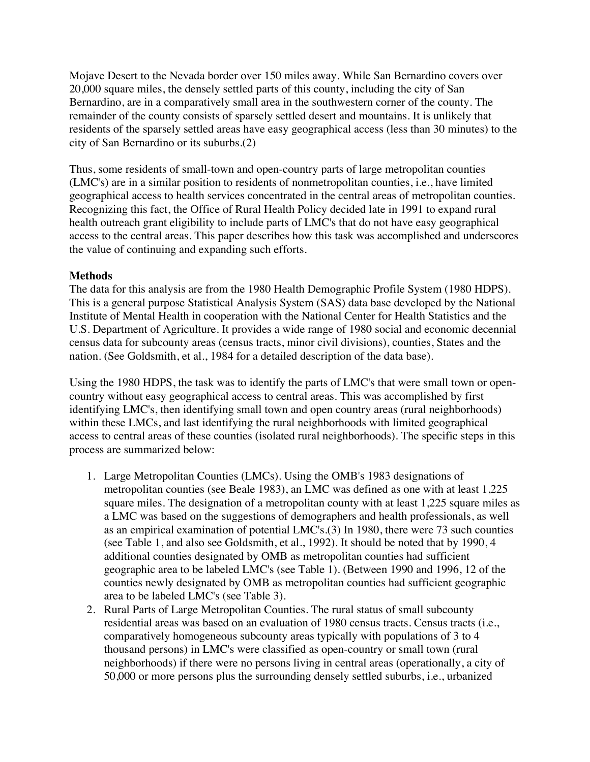Mojave Desert to the Nevada border over 150 miles away. While San Bernardino covers over 20,000 square miles, the densely settled parts of this county, including the city of San Bernardino, are in a comparatively small area in the southwestern corner of the county. The remainder of the county consists of sparsely settled desert and mountains. It is unlikely that residents of the sparsely settled areas have easy geographical access (less than 30 minutes) to the city of San Bernardino or its suburbs.(2)

Thus, some residents of small-town and open-country parts of large metropolitan counties (LMC's) are in a similar position to residents of nonmetropolitan counties, i.e., have limited geographical access to health services concentrated in the central areas of metropolitan counties. Recognizing this fact, the Office of Rural Health Policy decided late in 1991 to expand rural health outreach grant eligibility to include parts of LMC's that do not have easy geographical access to the central areas. This paper describes how this task was accomplished and underscores the value of continuing and expanding such efforts.

## **Methods**

The data for this analysis are from the 1980 Health Demographic Profile System (1980 HDPS). This is a general purpose Statistical Analysis System (SAS) data base developed by the National Institute of Mental Health in cooperation with the National Center for Health Statistics and the U.S. Department of Agriculture. It provides a wide range of 1980 social and economic decennial census data for subcounty areas (census tracts, minor civil divisions), counties, States and the nation. (See Goldsmith, et al., 1984 for a detailed description of the data base).

Using the 1980 HDPS, the task was to identify the parts of LMC's that were small town or opencountry without easy geographical access to central areas. This was accomplished by first identifying LMC's, then identifying small town and open country areas (rural neighborhoods) within these LMCs, and last identifying the rural neighborhoods with limited geographical access to central areas of these counties (isolated rural neighborhoods). The specific steps in this process are summarized below:

- 1. Large Metropolitan Counties (LMCs). Using the OMB's 1983 designations of metropolitan counties (see Beale 1983), an LMC was defined as one with at least 1,225 square miles. The designation of a metropolitan county with at least 1,225 square miles as a LMC was based on the suggestions of demographers and health professionals, as well as an empirical examination of potential LMC's.(3) In 1980, there were 73 such counties (see Table 1, and also see Goldsmith, et al., 1992). It should be noted that by 1990, 4 additional counties designated by OMB as metropolitan counties had sufficient geographic area to be labeled LMC's (see Table 1). (Between 1990 and 1996, 12 of the counties newly designated by OMB as metropolitan counties had sufficient geographic area to be labeled LMC's (see Table 3).
- 2. Rural Parts of Large Metropolitan Counties. The rural status of small subcounty residential areas was based on an evaluation of 1980 census tracts. Census tracts (i.e., comparatively homogeneous subcounty areas typically with populations of 3 to 4 thousand persons) in LMC's were classified as open-country or small town (rural neighborhoods) if there were no persons living in central areas (operationally, a city of 50,000 or more persons plus the surrounding densely settled suburbs, i.e., urbanized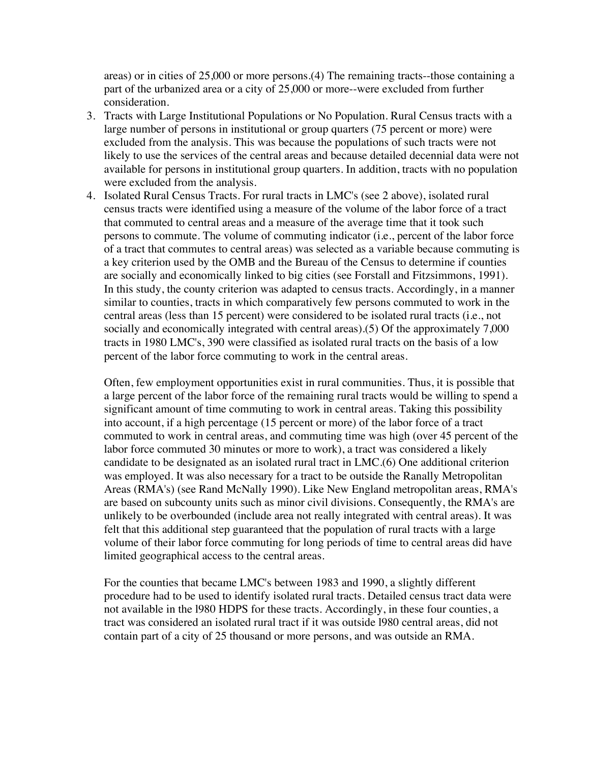areas) or in cities of 25,000 or more persons.(4) The remaining tracts--those containing a part of the urbanized area or a city of 25,000 or more--were excluded from further consideration.

- 3. Tracts with Large Institutional Populations or No Population. Rural Census tracts with a large number of persons in institutional or group quarters (75 percent or more) were excluded from the analysis. This was because the populations of such tracts were not likely to use the services of the central areas and because detailed decennial data were not available for persons in institutional group quarters. In addition, tracts with no population were excluded from the analysis.
- 4. Isolated Rural Census Tracts. For rural tracts in LMC's (see 2 above), isolated rural census tracts were identified using a measure of the volume of the labor force of a tract that commuted to central areas and a measure of the average time that it took such persons to commute. The volume of commuting indicator (i.e., percent of the labor force of a tract that commutes to central areas) was selected as a variable because commuting is a key criterion used by the OMB and the Bureau of the Census to determine if counties are socially and economically linked to big cities (see Forstall and Fitzsimmons, 1991). In this study, the county criterion was adapted to census tracts. Accordingly, in a manner similar to counties, tracts in which comparatively few persons commuted to work in the central areas (less than 15 percent) were considered to be isolated rural tracts (i.e., not socially and economically integrated with central areas).(5) Of the approximately 7,000 tracts in 1980 LMC's, 390 were classified as isolated rural tracts on the basis of a low percent of the labor force commuting to work in the central areas.

Often, few employment opportunities exist in rural communities. Thus, it is possible that a large percent of the labor force of the remaining rural tracts would be willing to spend a significant amount of time commuting to work in central areas. Taking this possibility into account, if a high percentage (15 percent or more) of the labor force of a tract commuted to work in central areas, and commuting time was high (over 45 percent of the labor force commuted 30 minutes or more to work), a tract was considered a likely candidate to be designated as an isolated rural tract in LMC.(6) One additional criterion was employed. It was also necessary for a tract to be outside the Ranally Metropolitan Areas (RMA's) (see Rand McNally 1990). Like New England metropolitan areas, RMA's are based on subcounty units such as minor civil divisions. Consequently, the RMA's are unlikely to be overbounded (include area not really integrated with central areas). It was felt that this additional step guaranteed that the population of rural tracts with a large volume of their labor force commuting for long periods of time to central areas did have limited geographical access to the central areas.

For the counties that became LMC's between 1983 and 1990, a slightly different procedure had to be used to identify isolated rural tracts. Detailed census tract data were not available in the l980 HDPS for these tracts. Accordingly, in these four counties, a tract was considered an isolated rural tract if it was outside l980 central areas, did not contain part of a city of 25 thousand or more persons, and was outside an RMA.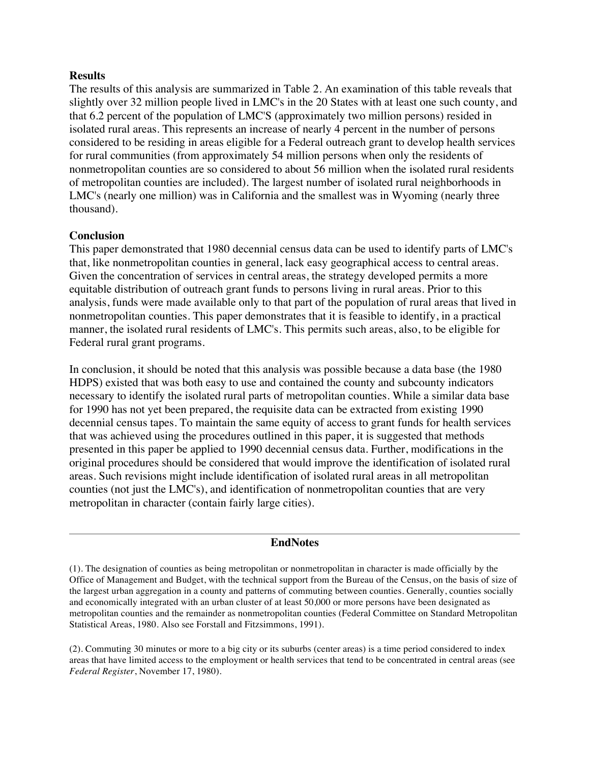#### **Results**

The results of this analysis are summarized in Table 2. An examination of this table reveals that slightly over 32 million people lived in LMC's in the 20 States with at least one such county, and that 6.2 percent of the population of LMC'S (approximately two million persons) resided in isolated rural areas. This represents an increase of nearly 4 percent in the number of persons considered to be residing in areas eligible for a Federal outreach grant to develop health services for rural communities (from approximately 54 million persons when only the residents of nonmetropolitan counties are so considered to about 56 million when the isolated rural residents of metropolitan counties are included). The largest number of isolated rural neighborhoods in LMC's (nearly one million) was in California and the smallest was in Wyoming (nearly three thousand).

## **Conclusion**

This paper demonstrated that 1980 decennial census data can be used to identify parts of LMC's that, like nonmetropolitan counties in general, lack easy geographical access to central areas. Given the concentration of services in central areas, the strategy developed permits a more equitable distribution of outreach grant funds to persons living in rural areas. Prior to this analysis, funds were made available only to that part of the population of rural areas that lived in nonmetropolitan counties. This paper demonstrates that it is feasible to identify, in a practical manner, the isolated rural residents of LMC's. This permits such areas, also, to be eligible for Federal rural grant programs.

In conclusion, it should be noted that this analysis was possible because a data base (the 1980 HDPS) existed that was both easy to use and contained the county and subcounty indicators necessary to identify the isolated rural parts of metropolitan counties. While a similar data base for 1990 has not yet been prepared, the requisite data can be extracted from existing 1990 decennial census tapes. To maintain the same equity of access to grant funds for health services that was achieved using the procedures outlined in this paper, it is suggested that methods presented in this paper be applied to 1990 decennial census data. Further, modifications in the original procedures should be considered that would improve the identification of isolated rural areas. Such revisions might include identification of isolated rural areas in all metropolitan counties (not just the LMC's), and identification of nonmetropolitan counties that are very metropolitan in character (contain fairly large cities).

#### **EndNotes**

(2). Commuting 30 minutes or more to a big city or its suburbs (center areas) is a time period considered to index areas that have limited access to the employment or health services that tend to be concentrated in central areas (see *Federal Register*, November 17, 1980).

<sup>(1).</sup> The designation of counties as being metropolitan or nonmetropolitan in character is made officially by the Office of Management and Budget, with the technical support from the Bureau of the Census, on the basis of size of the largest urban aggregation in a county and patterns of commuting between counties. Generally, counties socially and economically integrated with an urban cluster of at least 50,000 or more persons have been designated as metropolitan counties and the remainder as nonmetropolitan counties (Federal Committee on Standard Metropolitan Statistical Areas, 1980. Also see Forstall and Fitzsimmons, 1991).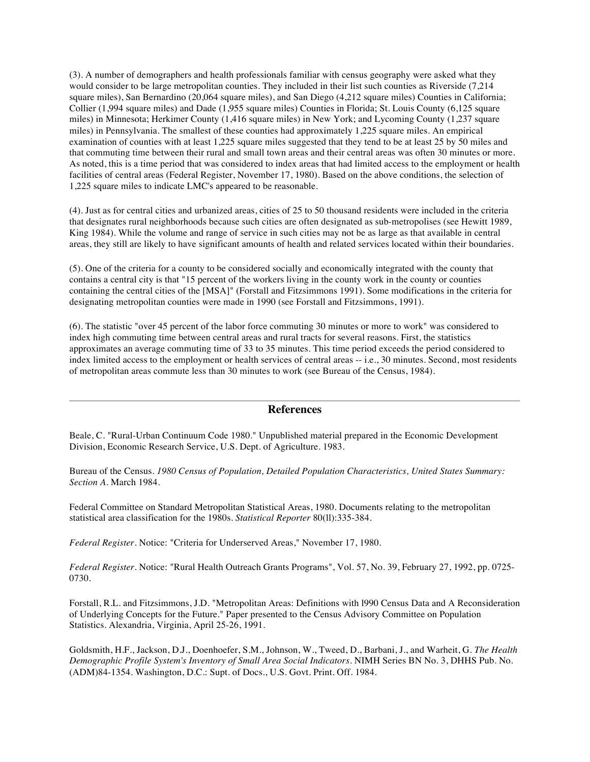(3). A number of demographers and health professionals familiar with census geography were asked what they would consider to be large metropolitan counties. They included in their list such counties as Riverside (7,214 square miles), San Bernardino (20,064 square miles), and San Diego (4,212 square miles) Counties in California; Collier (1,994 square miles) and Dade (1,955 square miles) Counties in Florida; St. Louis County (6,125 square miles) in Minnesota; Herkimer County (1,416 square miles) in New York; and Lycoming County (1,237 square miles) in Pennsylvania. The smallest of these counties had approximately 1,225 square miles. An empirical examination of counties with at least 1,225 square miles suggested that they tend to be at least 25 by 50 miles and that commuting time between their rural and small town areas and their central areas was often 30 minutes or more. As noted, this is a time period that was considered to index areas that had limited access to the employment or health facilities of central areas (Federal Register, November 17, 1980). Based on the above conditions, the selection of 1,225 square miles to indicate LMC's appeared to be reasonable.

(4). Just as for central cities and urbanized areas, cities of 25 to 50 thousand residents were included in the criteria that designates rural neighborhoods because such cities are often designated as sub-metropolises (see Hewitt 1989, King 1984). While the volume and range of service in such cities may not be as large as that available in central areas, they still are likely to have significant amounts of health and related services located within their boundaries.

(5). One of the criteria for a county to be considered socially and economically integrated with the county that contains a central city is that "15 percent of the workers living in the county work in the county or counties containing the central cities of the [MSA]" (Forstall and Fitzsimmons 1991). Some modifications in the criteria for designating metropolitan counties were made in 1990 (see Forstall and Fitzsimmons, 1991).

(6). The statistic "over 45 percent of the labor force commuting 30 minutes or more to work" was considered to index high commuting time between central areas and rural tracts for several reasons. First, the statistics approximates an average commuting time of 33 to 35 minutes. This time period exceeds the period considered to index limited access to the employment or health services of central areas -- i.e., 30 minutes. Second, most residents of metropolitan areas commute less than 30 minutes to work (see Bureau of the Census, 1984).

#### **References**

Beale, C. "Rural-Urban Continuum Code 1980." Unpublished material prepared in the Economic Development Division, Economic Research Service, U.S. Dept. of Agriculture. 1983.

Bureau of the Census. *1980 Census of Population, Detailed Population Characteristics, United States Summary: Section A*. March 1984.

Federal Committee on Standard Metropolitan Statistical Areas, 1980. Documents relating to the metropolitan statistical area classification for the 1980s. *Statistical Reporter* 80(ll):335-384.

*Federal Register*. Notice: "Criteria for Underserved Areas," November 17, 1980.

*Federal Register*. Notice: "Rural Health Outreach Grants Programs", Vol. 57, No. 39, February 27, 1992, pp. 0725- 0730.

Forstall, R.L. and Fitzsimmons, J.D. "Metropolitan Areas: Definitions with l990 Census Data and A Reconsideration of Underlying Concepts for the Future." Paper presented to the Census Advisory Committee on Population Statistics. Alexandria, Virginia, April 25-26, 1991.

Goldsmith, H.F., Jackson, D.J., Doenhoefer, S.M., Johnson, W., Tweed, D., Barbani, J., and Warheit, G. *The Health Demographic Profile System's Inventory of Small Area Social Indicators*. NIMH Series BN No. 3, DHHS Pub. No. (ADM)84-1354. Washington, D.C.: Supt. of Docs., U.S. Govt. Print. Off. 1984.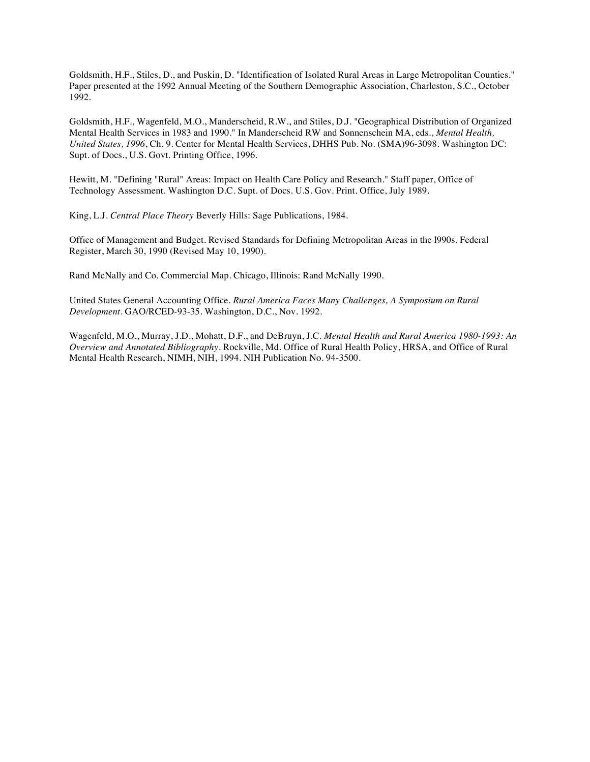Goldsmith, H.F., Stiles, D., and Puskin, D. "Identification of Isolated Rural Areas in Large Metropolitan Counties." Paper presented at the 1992 Annual Meeting of the Southern Demographic Association, Charleston, S.C., October 1992.

Goldsmith, H.F., Wagenfeld, M.O., Manderscheid, R.W., and Stiles, D.J. "Geographical Distribution of Organized Mental Health Services in 1983 and 1990." In Manderscheid RW and Sonnenschein MA, eds., *Mental Health, United States, 1996*, Ch. 9. Center for Mental Health Services, DHHS Pub. No. (SMA)96-3098. Washington DC: Supt. of Docs., U.S. Govt. Printing Office, 1996.

Hewitt, M. "Defining "Rural" Areas: Impact on Health Care Policy and Research." Staff paper, Office of Technology Assessment. Washington D.C. Supt. of Docs. U.S. Gov. Print. Office, July 1989.

King, L.J. *Central Place Theory* Beverly Hills: Sage Publications, 1984.

Office of Management and Budget. Revised Standards for Defining Metropolitan Areas in the l990s. Federal Register, March 30, 1990 (Revised May 10, 1990).

Rand McNally and Co. Commercial Map. Chicago, Illinois: Rand McNally 1990.

United States General Accounting Office. *Rural America Faces Many Challenges, A Symposium on Rural Development*. GAO/RCED-93-35. Washington, D.C., Nov. 1992.

Wagenfeld, M.O., Murray, J.D., Mohatt, D.F., and DeBruyn, J.C. *Mental Health and Rural America 1980-1993: An Overview and Annotated Bibliography*. Rockville, Md. Office of Rural Health Policy, HRSA, and Office of Rural Mental Health Research, NIMH, NIH, 1994. NIH Publication No. 94-3500.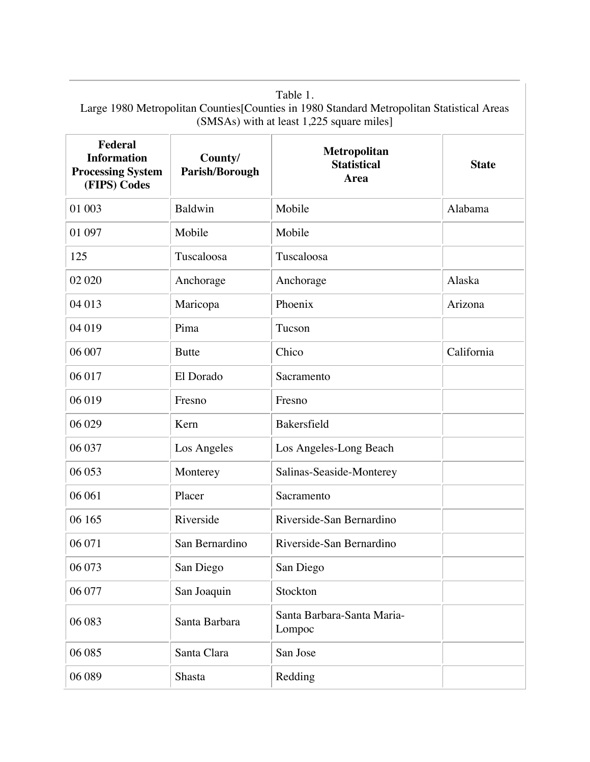| Federal<br><b>Information</b><br><b>Processing System</b><br>(FIPS) Codes | County/<br>Parish/Borough | Metropolitan<br><b>Statistical</b><br><b>Area</b> | <b>State</b> |
|---------------------------------------------------------------------------|---------------------------|---------------------------------------------------|--------------|
| 01 003                                                                    | Baldwin                   | Mobile                                            | Alabama      |
| 01 097                                                                    | Mobile                    | Mobile                                            |              |
| 125                                                                       | Tuscaloosa                | Tuscaloosa                                        |              |
| 02 020                                                                    | Anchorage                 | Anchorage                                         | Alaska       |
| 04 013                                                                    | Maricopa                  | Phoenix                                           | Arizona      |
| 04 019                                                                    | Pima                      | Tucson                                            |              |
| 06 007                                                                    | <b>Butte</b>              | Chico                                             | California   |
| 06 017                                                                    | El Dorado                 | Sacramento                                        |              |
| 06 019                                                                    | Fresno                    | Fresno                                            |              |
| 06 029                                                                    | Kern                      | Bakersfield                                       |              |
| 06 037                                                                    | Los Angeles               | Los Angeles-Long Beach                            |              |
| 06 053                                                                    | Monterey                  | Salinas-Seaside-Monterey                          |              |
| 06 061                                                                    | Placer                    | Sacramento                                        |              |
| 06 165                                                                    | Riverside                 | Riverside-San Bernardino                          |              |
| 06 071                                                                    | San Bernardino            | Riverside-San Bernardino                          |              |
| 06 073                                                                    | San Diego                 | San Diego                                         |              |
| 06 077                                                                    | San Joaquin               | Stockton                                          |              |
| 06 083                                                                    | Santa Barbara             | Santa Barbara-Santa Maria-<br>Lompoc              |              |
| 06 085                                                                    | Santa Clara               | San Jose                                          |              |
| 06 089                                                                    | Shasta                    | Redding                                           |              |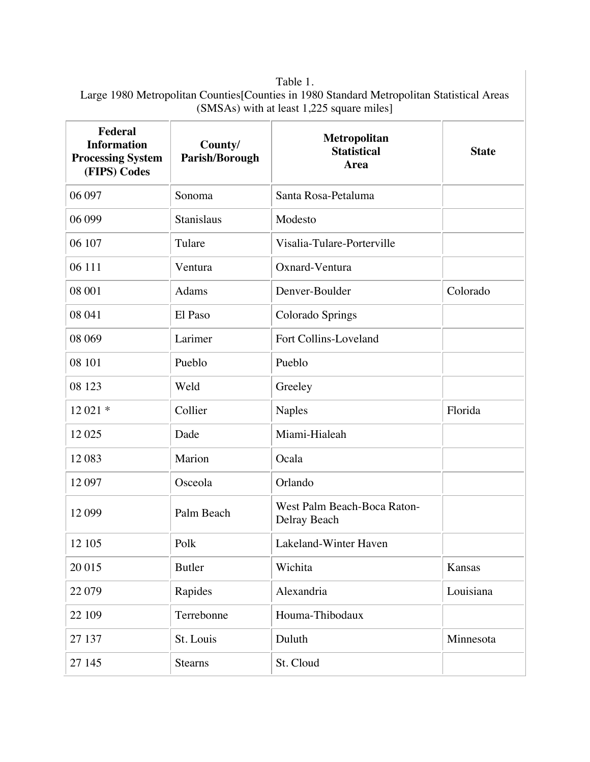| <b>Federal</b><br><b>Information</b><br><b>Processing System</b><br>(FIPS) Codes | County/<br>Parish/Borough | Metropolitan<br><b>Statistical</b><br>Area  | <b>State</b> |
|----------------------------------------------------------------------------------|---------------------------|---------------------------------------------|--------------|
| 06 097                                                                           | Sonoma                    | Santa Rosa-Petaluma                         |              |
| 06 099                                                                           | Stanislaus                | Modesto                                     |              |
| 06 107                                                                           | Tulare                    | Visalia-Tulare-Porterville                  |              |
| 06 111                                                                           | Ventura                   | Oxnard-Ventura                              |              |
| 08 001                                                                           | Adams                     | Denver-Boulder                              | Colorado     |
| 08 041                                                                           | El Paso                   | Colorado Springs                            |              |
| 08 069                                                                           | Larimer                   | Fort Collins-Loveland                       |              |
| 08 101                                                                           | Pueblo                    | Pueblo                                      |              |
| 08 123                                                                           | Weld                      | Greeley                                     |              |
| 12 021 *                                                                         | Collier                   | <b>Naples</b>                               | Florida      |
| 12025                                                                            | Dade                      | Miami-Hialeah                               |              |
| 12083                                                                            | Marion                    | Ocala                                       |              |
| 12 097                                                                           | Osceola                   | Orlando                                     |              |
| 12 099                                                                           | Palm Beach                | West Palm Beach-Boca Raton-<br>Delray Beach |              |
| 12 10 5                                                                          | Polk                      | Lakeland-Winter Haven                       |              |
| 20 015                                                                           | <b>Butler</b>             | Wichita                                     | Kansas       |
| 22 079                                                                           | Rapides                   | Alexandria                                  | Louisiana    |
| 22 109                                                                           | Terrebonne                | Houma-Thibodaux                             |              |
| 27 137                                                                           | St. Louis                 | Duluth                                      | Minnesota    |
| 27 145                                                                           | <b>Stearns</b>            | St. Cloud                                   |              |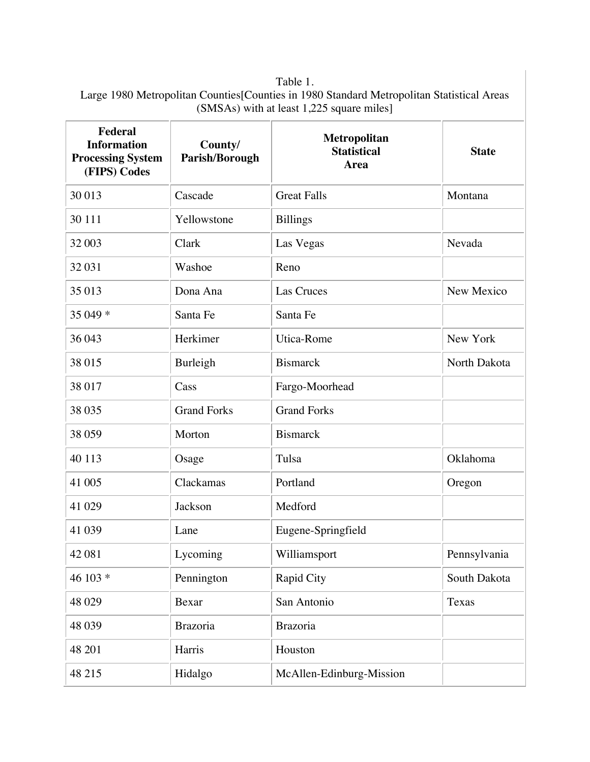| <b>Federal</b><br><b>Information</b><br><b>Processing System</b><br>(FIPS) Codes | County/<br>Parish/Borough | Metropolitan<br><b>Statistical</b><br>Area | <b>State</b> |
|----------------------------------------------------------------------------------|---------------------------|--------------------------------------------|--------------|
| 30 013                                                                           | Cascade                   | <b>Great Falls</b>                         | Montana      |
| 30 111                                                                           | Yellowstone               | <b>Billings</b>                            |              |
| 32 003                                                                           | Clark                     | Las Vegas                                  | Nevada       |
| 32 031                                                                           | Washoe                    | Reno                                       |              |
| 35 013                                                                           | Dona Ana                  | <b>Las Cruces</b>                          | New Mexico   |
| 35 049 *                                                                         | Santa Fe                  | Santa Fe                                   |              |
| 36 043                                                                           | Herkimer                  | Utica-Rome                                 | New York     |
| 38 015                                                                           | Burleigh                  | <b>Bismarck</b>                            | North Dakota |
| 38 017                                                                           | Cass                      | Fargo-Moorhead                             |              |
| 38 0 35                                                                          | <b>Grand Forks</b>        | <b>Grand Forks</b>                         |              |
| 38 059                                                                           | Morton                    | <b>Bismarck</b>                            |              |
| 40 113                                                                           | Osage                     | Tulsa                                      | Oklahoma     |
| 41 005                                                                           | Clackamas                 | Portland                                   | Oregon       |
| 41 0 29                                                                          | Jackson                   | Medford                                    |              |
| 41 039                                                                           | Lane                      | Eugene-Springfield                         |              |
| 42 081                                                                           | Lycoming                  | Williamsport                               | Pennsylvania |
| 46 103 *                                                                         | Pennington                | Rapid City                                 | South Dakota |
| 48 0 29                                                                          | Bexar                     | San Antonio                                | Texas        |
| 48 0 39                                                                          | <b>Brazoria</b>           | <b>Brazoria</b>                            |              |
| 48 201                                                                           | Harris                    | Houston                                    |              |
| 48 215                                                                           | Hidalgo                   | McAllen-Edinburg-Mission                   |              |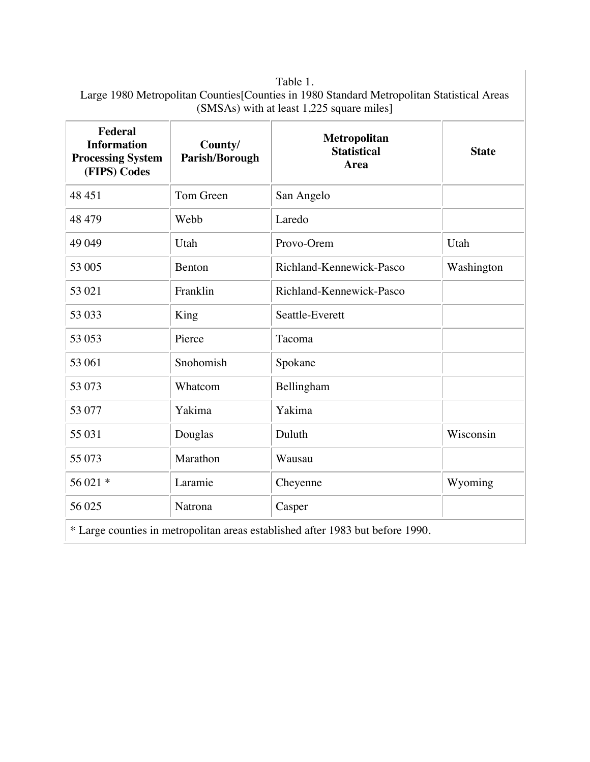| Federal<br><b>Information</b><br><b>Processing System</b><br>(FIPS) Codes | County/<br>Parish/Borough | Metropolitan<br><b>Statistical</b><br>Area                                     | <b>State</b> |
|---------------------------------------------------------------------------|---------------------------|--------------------------------------------------------------------------------|--------------|
| 48 451                                                                    | Tom Green                 | San Angelo                                                                     |              |
| 48 479                                                                    | Webb                      | Laredo                                                                         |              |
| 49 049                                                                    | Utah                      | Provo-Orem                                                                     | Utah         |
| 53 005                                                                    | Benton                    | Richland-Kennewick-Pasco                                                       | Washington   |
| 53 021                                                                    | Franklin                  | Richland-Kennewick-Pasco                                                       |              |
| 53 033                                                                    | King                      | Seattle-Everett                                                                |              |
| 53 053                                                                    | Pierce                    | Tacoma                                                                         |              |
| 53 061                                                                    | Snohomish                 | Spokane                                                                        |              |
| 53 073                                                                    | Whatcom                   | Bellingham                                                                     |              |
| 53 077                                                                    | Yakima                    | Yakima                                                                         |              |
| 55 031                                                                    | Douglas                   | Duluth                                                                         | Wisconsin    |
| 55 073                                                                    | Marathon                  | Wausau                                                                         |              |
| 56 021 *                                                                  | Laramie                   | Cheyenne                                                                       | Wyoming      |
| 56 025                                                                    | Natrona                   | Casper                                                                         |              |
|                                                                           |                           | * Large counties in metropolitan areas established after 1983 but before 1990. |              |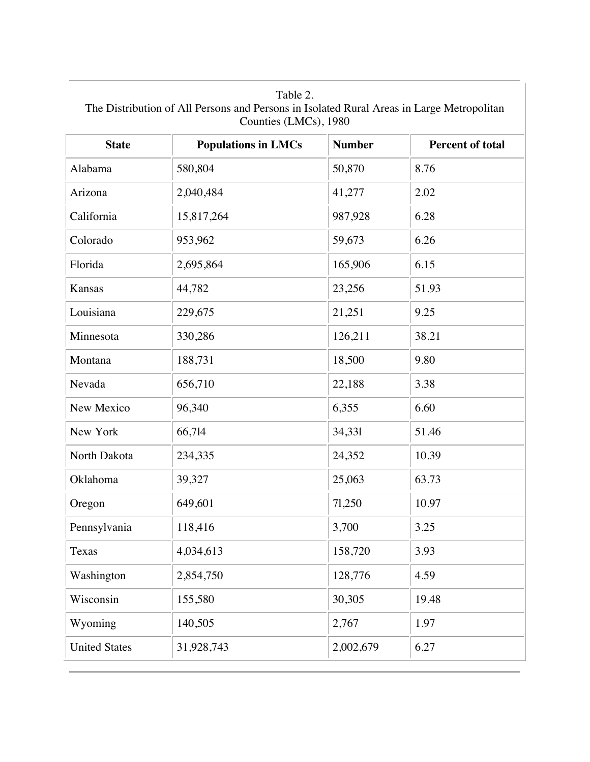Table 2. The Distribution of All Persons and Persons in Isolated Rural Areas in Large Metropolitan Counties (LMCs), 1980

| <b>State</b>         | <b>Populations in LMCs</b> | <b>Number</b> | <b>Percent of total</b> |
|----------------------|----------------------------|---------------|-------------------------|
| Alabama              | 580,804                    | 50,870        | 8.76                    |
| Arizona              | 2,040,484                  | 41,277        | 2.02                    |
| California           | 15,817,264                 | 987,928       | 6.28                    |
| Colorado             | 953,962                    | 59,673        | 6.26                    |
| Florida              | 2,695,864                  | 165,906       | 6.15                    |
| Kansas               | 44,782                     | 23,256        | 51.93                   |
| Louisiana            | 229,675                    | 21,251        | 9.25                    |
| Minnesota            | 330,286                    | 126,211       | 38.21                   |
| Montana              | 188,731                    | 18,500        | 9.80                    |
| Nevada               | 656,710                    | 22,188        | 3.38                    |
| New Mexico           | 96,340                     | 6,355         | 6.60                    |
| New York             | 66,714                     | 34,331        | 51.46                   |
| North Dakota         | 234,335                    | 24,352        | 10.39                   |
| Oklahoma             | 39,327                     | 25,063        | 63.73                   |
| Oregon               | 649,601                    | 71,250        | 10.97                   |
| Pennsylvania         | 118,416                    | 3,700         | 3.25                    |
| Texas                | 4,034,613                  | 158,720       | 3.93                    |
| Washington           | 2,854,750                  | 128,776       | 4.59                    |
| Wisconsin            | 155,580                    | 30,305        | 19.48                   |
| Wyoming              | 140,505                    | 2,767         | 1.97                    |
| <b>United States</b> | 31,928,743                 | 2,002,679     | 6.27                    |